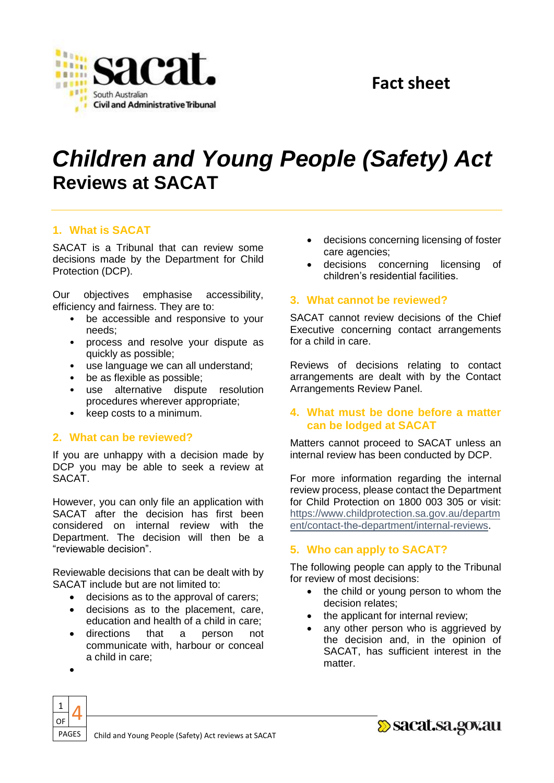

# *Children and Young People (Safety) Act*  **Reviews at SACAT**

# **1. What is SACAT**

SACAT is a Tribunal that can review some decisions made by the Department for Child Protection (DCP).

Our objectives emphasise accessibility, efficiency and fairness. They are to:

- be accessible and responsive to your needs;
- process and resolve your dispute as quickly as possible;
- use language we can all understand;
- be as flexible as possible;
- use alternative dispute resolution procedures wherever appropriate;
- keep costs to a minimum.

# **2. What can be reviewed?**

If you are unhappy with a decision made by DCP you may be able to seek a review at SACAT.

However, you can only file an application with SACAT after the decision has first been considered on internal review with the Department. The decision will then be a "reviewable decision".

Reviewable decisions that can be dealt with by SACAT include but are not limited to:

- decisions as to the approval of carers;
- decisions as to the placement, care, education and health of a child in care;
- directions that a person not communicate with, harbour or conceal a child in care;
- decisions concerning licensing of foster care agencies;
- decisions concerning licensing of children's residential facilities.

#### **3. What cannot be reviewed?**

SACAT cannot review decisions of the Chief Executive concerning contact arrangements for a child in care.

Reviews of decisions relating to contact arrangements are dealt with by the Contact Arrangements Review Panel.

#### **4. What must be done before a matter can be lodged at SACAT**

Matters cannot proceed to SACAT unless an internal review has been conducted by DCP.

For more information regarding the internal review process, please contact the Department for Child Protection on 1800 003 305 or visit: [https://www.childprotection.sa.gov.au/departm](https://www.childprotection.sa.gov.au/department/contact-the-department/internal-reviews) ent/contact-the-department/internal-reviews.

# **5. Who can apply to SACAT?**

The following people can apply to the Tribunal for review of most decisions:

- the child or young person to whom the decision relates;
- the applicant for internal review;
- any other person who is aggrieved by the decision and, in the opinion of SACAT, has sufficient interest in the matter.



٠

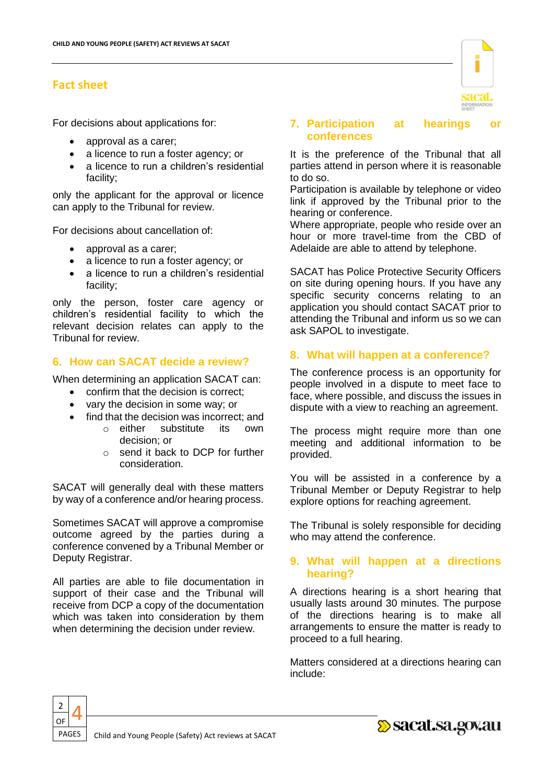For decisions about applications for:

- approval as a carer;
- a licence to run a foster agency; or
- a licence to run a children's residential facility;

only the applicant for the approval or licence can apply to the Tribunal for review.

For decisions about cancellation of:

- approval as a carer;
- a licence to run a foster agency; or
- a licence to run a children's residential facility;

only the person, foster care agency or children's residential facility to which the relevant decision relates can apply to the Tribunal for review.

# **6. How can SACAT decide a review?**

When determining an application SACAT can:

- confirm that the decision is correct;
- vary the decision in some way; or
- find that the decision was incorrect: and
	- o either substitute its own decision; or
	- o send it back to DCP for further consideration.

SACAT will generally deal with these matters by way of a conference and/or hearing process.

Sometimes SACAT will approve a compromise outcome agreed by the parties during a conference convened by a Tribunal Member or Deputy Registrar.

All parties are able to file documentation in support of their case and the Tribunal will receive from DCP a copy of the documentation which was taken into consideration by them when determining the decision under review.



#### **7. Participation at hearings or conferences**

It is the preference of the Tribunal that all parties attend in person where it is reasonable to do so.

Participation is available by telephone or video link if approved by the Tribunal prior to the hearing or conference.

Where appropriate, people who reside over an hour or more travel-time from the CBD of Adelaide are able to attend by telephone.

SACAT has Police Protective Security Officers on site during opening hours. If you have any specific security concerns relating to an application you should contact SACAT prior to attending the Tribunal and inform us so we can ask SAPOL to investigate.

# **8. What will happen at a conference?**

The conference process is an opportunity for people involved in a dispute to meet face to face, where possible, and discuss the issues in dispute with a view to reaching an agreement.

The process might require more than one meeting and additional information to be provided.

You will be assisted in a conference by a Tribunal Member or Deputy Registrar to help explore options for reaching agreement.

The Tribunal is solely responsible for deciding who may attend the conference.

# **9. What will happen at a directions hearing?**

A directions hearing is a short hearing that usually lasts around 30 minutes. The purpose of the directions hearing is to make all arrangements to ensure the matter is ready to proceed to a full hearing.

Matters considered at a directions hearing can include:



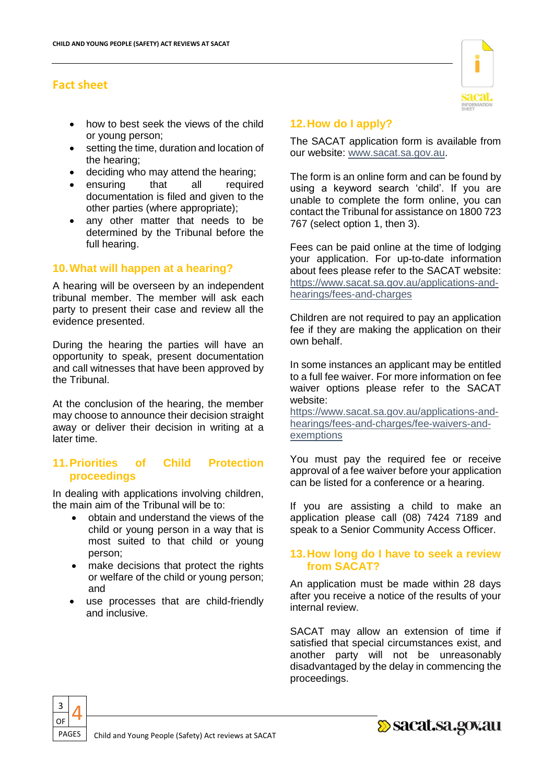- how to best seek the views of the child or young person;
- **•** setting the time, duration and location of the hearing;
- deciding who may attend the hearing;
- ensuring that all required documentation is filed and given to the other parties (where appropriate);
- any other matter that needs to be determined by the Tribunal before the full hearing.

# **10.What will happen at a hearing?**

A hearing will be overseen by an independent tribunal member. The member will ask each party to present their case and review all the evidence presented.

During the hearing the parties will have an opportunity to speak, present documentation and call witnesses that have been approved by the Tribunal.

At the conclusion of the hearing, the member may choose to announce their decision straight away or deliver their decision in writing at a later time.

# **11.Priorities of Child Protection proceedings**

In dealing with applications involving children, the main aim of the Tribunal will be to:

- obtain and understand the views of the child or young person in a way that is most suited to that child or young person;
- make decisions that protect the rights or welfare of the child or young person; and
- use processes that are child-friendly and inclusive.

# **12.How do I apply?**

The SACAT application form is available from our website: [www.sacat.sa.gov.au.](http://www.sacat.sa.gov.au/)

The form is an online form and can be found by using a keyword search 'child'. If you are unable to complete the form online, you can contact the Tribunal for assistance on 1800 723 767 (select option 1, then 3).

Fees can be paid online at the time of lodging your application. For up-to-date information about fees please refer to the SACAT website: [https://www.sacat.sa.gov.au/applications-and](https://www.sacat.sa.gov.au/applications-and-hearings/fees-and-charges)[hearings/fees-and-charges](https://www.sacat.sa.gov.au/applications-and-hearings/fees-and-charges)

Children are not required to pay an application fee if they are making the application on their own behalf.

In some instances an applicant may be entitled to a full fee waiver. For more information on fee waiver options please refer to the SACAT website:

[https://www.sacat.sa.gov.au/applications-and](https://www.sacat.sa.gov.au/applications-and-hearings/fees-and-charges/fee-waivers-and-exemptions)[hearings/fees-and-charges/fee-waivers-and](https://www.sacat.sa.gov.au/applications-and-hearings/fees-and-charges/fee-waivers-and-exemptions)[exemptions](https://www.sacat.sa.gov.au/applications-and-hearings/fees-and-charges/fee-waivers-and-exemptions)

You must pay the required fee or receive approval of a fee waiver before your application can be listed for a conference or a hearing.

If you are assisting a child to make an application please call (08) 7424 7189 and speak to a Senior Community Access Officer.

#### **13.How long do I have to seek a review from SACAT?**

An application must be made within 28 days after you receive a notice of the results of your internal review.

SACAT may allow an extension of time if satisfied that special circumstances exist, and another party will not be unreasonably disadvantaged by the delay in commencing the proceedings.